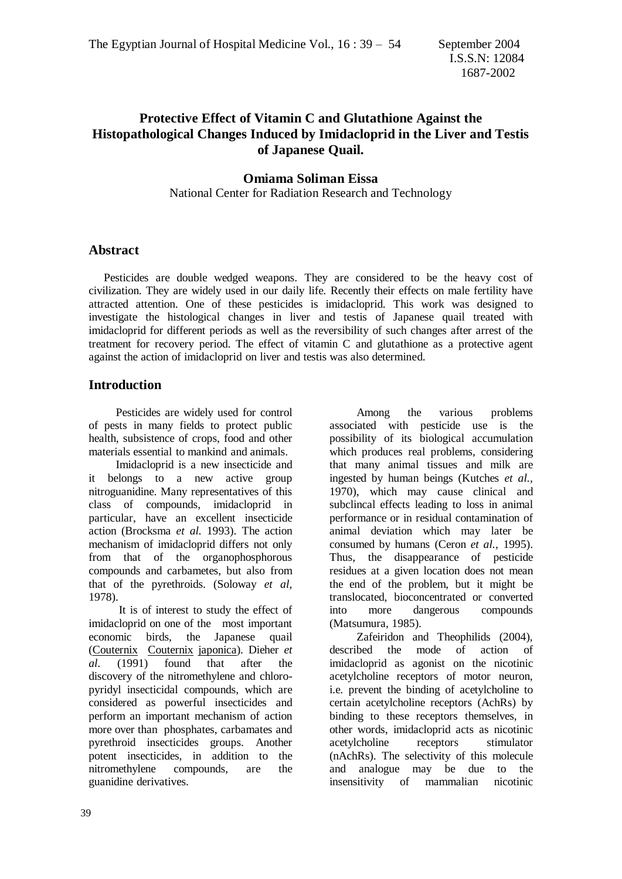# **Protective Effect of Vitamin C and Glutathione Against the Histopathological Changes Induced by Imidacloprid in the Liver and Testis of Japanese Quail.**

#### **Omiama Soliman Eissa**

National Center for Radiation Research and Technology

#### **Abstract**

 Pesticides are double wedged weapons. They are considered to be the heavy cost of civilization. They are widely used in our daily life. Recently their effects on male fertility have attracted attention. One of these pesticides is imidacloprid. This work was designed to investigate the histological changes in liver and testis of Japanese quail treated with imidacloprid for different periods as well as the reversibility of such changes after arrest of the treatment for recovery period. The effect of vitamin C and glutathione as a protective agent against the action of imidacloprid on liver and testis was also determined.

## **Introduction**

 Pesticides are widely used for control of pests in many fields to protect public health, subsistence of crops, food and other materials essential to mankind and animals.

 Imidacloprid is a new insecticide and it belongs to a new active group nitroguanidine. Many representatives of this class of compounds, imidacloprid in particular, have an excellent insecticide action (Brocksma *et al.* 1993). The action mechanism of imidacloprid differs not only from that of the organophosphorous compounds and carbametes, but also from that of the pyrethroids. (Soloway *et al,* 1978).

 It is of interest to study the effect of imidacloprid on one of the most important economic birds, the Japanese quail (Couternix Couternix japonica). Dieher *et al.* (1991) found that after the discovery of the nitromethylene and chloropyridyl insecticidal compounds, which are considered as powerful insecticides and perform an important mechanism of action more over than phosphates, carbamates and pyrethroid insecticides groups. Another potent insecticides, in addition to the nitromethylene compounds, are the guanidine derivatives.

 Among the various problems associated with pesticide use is the possibility of its biological accumulation which produces real problems, considering that many animal tissues and milk are ingested by human beings (Kutches *et al.,* 1970), which may cause clinical and subclincal effects leading to loss in animal performance or in residual contamination of animal deviation which may later be consumed by humans (Ceron *et al.,* 1995). Thus, the disappearance of pesticide residues at a given location does not mean the end of the problem, but it might be translocated, bioconcentrated or converted into more dangerous compounds (Matsumura, 1985).

 Zafeiridon and Theophilids (2004), described the mode of action of imidacloprid as agonist on the nicotinic acetylcholine receptors of motor neuron, i.e. prevent the binding of acetylcholine to certain acetylcholine receptors (AchRs) by binding to these receptors themselves, in other words, imidacloprid acts as nicotinic acetylcholine receptors stimulator (nAchRs). The selectivity of this molecule and analogue may be due to the insensitivity of mammalian nicotinic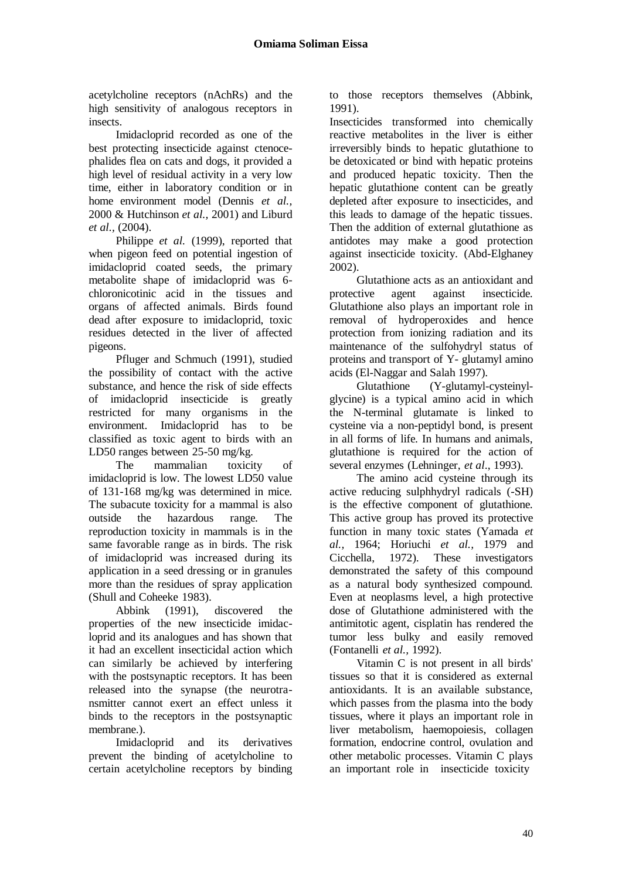acetylcholine receptors (nAchRs) and the high sensitivity of analogous receptors in insects.

 Imidacloprid recorded as one of the best protecting insecticide against ctenocephalides flea on cats and dogs, it provided a high level of residual activity in a very low time, either in laboratory condition or in home environment model (Dennis *et al.,*  2000 & Hutchinson *et al.,* 2001) and Liburd *et al.,* (2004).

 Philippe *et al.* (1999), reported that when pigeon feed on potential ingestion of imidacloprid coated seeds, the primary metabolite shape of imidacloprid was 6 chloronicotinic acid in the tissues and organs of affected animals. Birds found dead after exposure to imidacloprid, toxic residues detected in the liver of affected pigeons.

 Pfluger and Schmuch (1991), studied the possibility of contact with the active substance, and hence the risk of side effects of imidacloprid insecticide is greatly restricted for many organisms in the environment. Imidacloprid has to be classified as toxic agent to birds with an LD50 ranges between 25-50 mg/kg.

 The mammalian toxicity of imidacloprid is low. The lowest LD50 value of 131-168 mg/kg was determined in mice. The subacute toxicity for a mammal is also outside the hazardous range. The reproduction toxicity in mammals is in the same favorable range as in birds. The risk of imidacloprid was increased during its application in a seed dressing or in granules more than the residues of spray application (Shull and Coheeke 1983).

 Abbink (1991), discovered the properties of the new insecticide imidacloprid and its analogues and has shown that it had an excellent insecticidal action which can similarly be achieved by interfering with the postsynaptic receptors. It has been released into the synapse (the neurotransmitter cannot exert an effect unless it binds to the receptors in the postsynaptic membrane.).

 Imidacloprid and its derivatives prevent the binding of acetylcholine to certain acetylcholine receptors by binding to those receptors themselves (Abbink, 1991).

Insecticides transformed into chemically reactive metabolites in the liver is either irreversibly binds to hepatic glutathione to be detoxicated or bind with hepatic proteins and produced hepatic toxicity. Then the hepatic glutathione content can be greatly depleted after exposure to insecticides, and this leads to damage of the hepatic tissues. Then the addition of external glutathione as antidotes may make a good protection against insecticide toxicity. (Abd-Elghaney 2002).

 Glutathione acts as an antioxidant and protective agent against insecticide. Glutathione also plays an important role in removal of hydroperoxides and hence protection from ionizing radiation and its maintenance of the sulfohydryl status of proteins and transport of Y- glutamyl amino acids (El-Naggar and Salah 1997).

 Glutathione (Y-glutamyl-cysteinylglycine) is a typical amino acid in which the N-terminal glutamate is linked to cysteine via a non-peptidyl bond, is present in all forms of life. In humans and animals, glutathione is required for the action of several enzymes (Lehninger, *et al*., 1993).

 The amino acid cysteine through its active reducing sulphhydryl radicals (-SH) is the effective component of glutathione. This active group has proved its protective function in many toxic states (Yamada *et al.,* 1964; Horiuchi *et al.,* 1979 and Cicchella, 1972). These investigators demonstrated the safety of this compound as a natural body synthesized compound. Even at neoplasms level, a high protective dose of Glutathione administered with the antimitotic agent, cisplatin has rendered the tumor less bulky and easily removed (Fontanelli *et al.,* 1992).

 Vitamin C is not present in all birds' tissues so that it is considered as external antioxidants. It is an available substance, which passes from the plasma into the body tissues, where it plays an important role in liver metabolism, haemopoiesis, collagen formation, endocrine control, ovulation and other metabolic processes. Vitamin C plays an important role in insecticide toxicity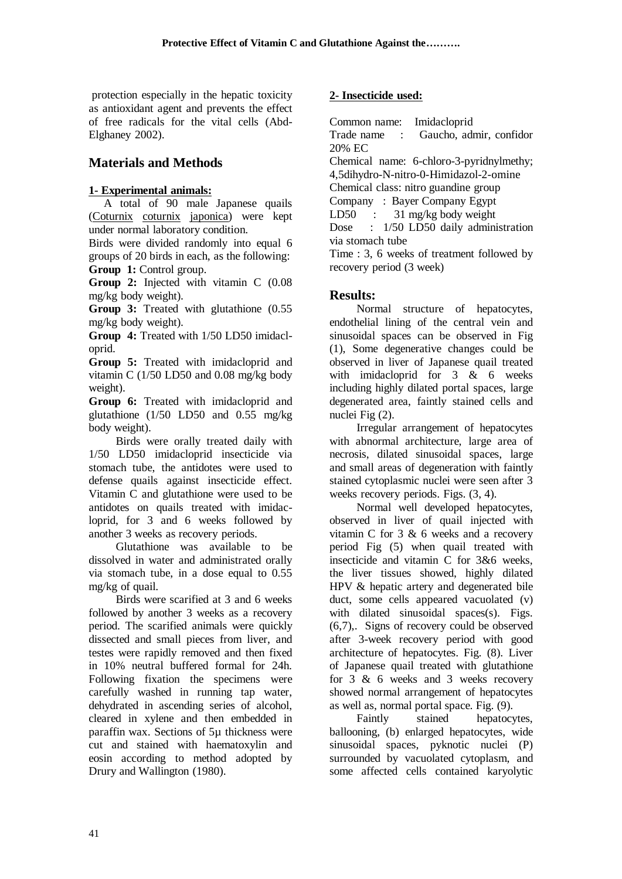protection especially in the hepatic toxicity as antioxidant agent and prevents the effect of free radicals for the vital cells (Abd-Elghaney 2002).

# **Materials and Methods**

#### **1- Experimental animals:**

 A total of 90 male Japanese quails (Coturnix coturnix japonica) were kept under normal laboratory condition.

Birds were divided randomly into equal 6 groups of 20 birds in each, as the following: **Group 1:** Control group.

**Group 2:** Injected with vitamin C (0.08 mg/kg body weight).

**Group 3:** Treated with glutathione (0.55 mg/kg body weight).

**Group 4:** Treated with 1/50 LD50 imidacloprid.

**Group 5:** Treated with imidacloprid and vitamin C (1/50 LD50 and 0.08 mg/kg body weight).

**Group 6:** Treated with imidacloprid and glutathione (1/50 LD50 and 0.55 mg/kg body weight).

 Birds were orally treated daily with 1/50 LD50 imidacloprid insecticide via stomach tube, the antidotes were used to defense quails against insecticide effect. Vitamin C and glutathione were used to be antidotes on quails treated with imidacloprid, for 3 and 6 weeks followed by another 3 weeks as recovery periods.

 Glutathione was available to be dissolved in water and administrated orally via stomach tube, in a dose equal to 0.55 mg/kg of quail.

 Birds were scarified at 3 and 6 weeks followed by another 3 weeks as a recovery period. The scarified animals were quickly dissected and small pieces from liver, and testes were rapidly removed and then fixed in 10% neutral buffered formal for 24h. Following fixation the specimens were carefully washed in running tap water, dehydrated in ascending series of alcohol, cleared in xylene and then embedded in paraffin wax. Sections of 5µ thickness were cut and stained with haematoxylin and eosin according to method adopted by Drury and Wallington (1980).

## **2- Insecticide used:**

Common name: Imidacloprid

Trade name : Gaucho, admir, confidor 20% EC

Chemical name: 6-chloro-3-pyridnylmethy; 4,5dihydro-N-nitro-0-Himidazol-2-omine

Chemical class: nitro guandine group

Company : Bayer Company Egypt

LD50 : 31 mg/kg body weight

Dose : 1/50 LD50 daily administration via stomach tube

Time : 3, 6 weeks of treatment followed by recovery period (3 week)

# **Results:**

 Normal structure of hepatocytes, endothelial lining of the central vein and sinusoidal spaces can be observed in Fig (1), Some degenerative changes could be observed in liver of Japanese quail treated with imidacloprid for  $3 \& 6$  weeks including highly dilated portal spaces, large degenerated area, faintly stained cells and nuclei Fig (2).

 Irregular arrangement of hepatocytes with abnormal architecture, large area of necrosis, dilated sinusoidal spaces, large and small areas of degeneration with faintly stained cytoplasmic nuclei were seen after 3 weeks recovery periods. Figs. (3, 4).

 Normal well developed hepatocytes, observed in liver of quail injected with vitamin C for 3 & 6 weeks and a recovery period Fig (5) when quail treated with insecticide and vitamin C for 3&6 weeks, the liver tissues showed, highly dilated HPV & hepatic artery and degenerated bile duct, some cells appeared vacuolated (v) with dilated sinusoidal spaces(s). Figs. (6,7),. Signs of recovery could be observed after 3-week recovery period with good architecture of hepatocytes. Fig. (8). Liver of Japanese quail treated with glutathione for 3 & 6 weeks and 3 weeks recovery showed normal arrangement of hepatocytes as well as, normal portal space. Fig. (9).

 Faintly stained hepatocytes, ballooning, (b) enlarged hepatocytes, wide sinusoidal spaces, pyknotic nuclei (P) surrounded by vacuolated cytoplasm, and some affected cells contained karyolytic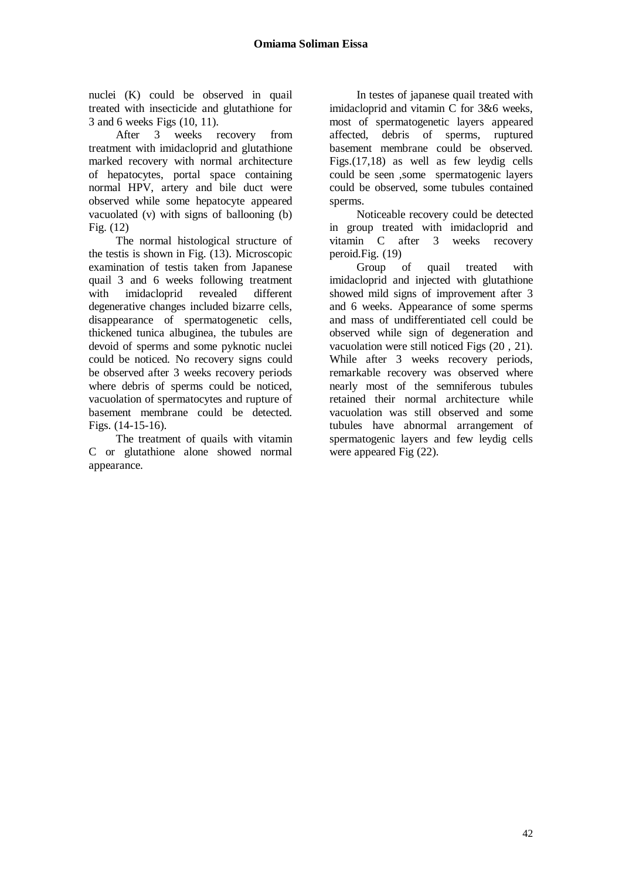nuclei (K) could be observed in quail treated with insecticide and glutathione for 3 and 6 weeks Figs (10, 11).

 After 3 weeks recovery from treatment with imidacloprid and glutathione marked recovery with normal architecture of hepatocytes, portal space containing normal HPV, artery and bile duct were observed while some hepatocyte appeared vacuolated (v) with signs of ballooning (b) Fig. (12)

 The normal histological structure of the testis is shown in Fig. (13). Microscopic examination of testis taken from Japanese quail 3 and 6 weeks following treatment with imidacloprid revealed different degenerative changes included bizarre cells, disappearance of spermatogenetic cells, thickened tunica albuginea, the tubules are devoid of sperms and some pyknotic nuclei could be noticed. No recovery signs could be observed after 3 weeks recovery periods where debris of sperms could be noticed, vacuolation of spermatocytes and rupture of basement membrane could be detected. Figs. (14-15-16).

 The treatment of quails with vitamin C or glutathione alone showed normal appearance.

 In testes of japanese quail treated with imidacloprid and vitamin C for 3&6 weeks, most of spermatogenetic layers appeared affected, debris of sperms, ruptured basement membrane could be observed. Figs.(17,18) as well as few leydig cells could be seen ,some spermatogenic layers could be observed, some tubules contained sperms.

 Noticeable recovery could be detected in group treated with imidacloprid and vitamin C after 3 weeks recovery peroid.Fig. (19)

 Group of quail treated with imidacloprid and injected with glutathione showed mild signs of improvement after 3 and 6 weeks. Appearance of some sperms and mass of undifferentiated cell could be observed while sign of degeneration and vacuolation were still noticed Figs (20 , 21). While after 3 weeks recovery periods, remarkable recovery was observed where nearly most of the semniferous tubules retained their normal architecture while vacuolation was still observed and some tubules have abnormal arrangement of spermatogenic layers and few leydig cells were appeared Fig (22).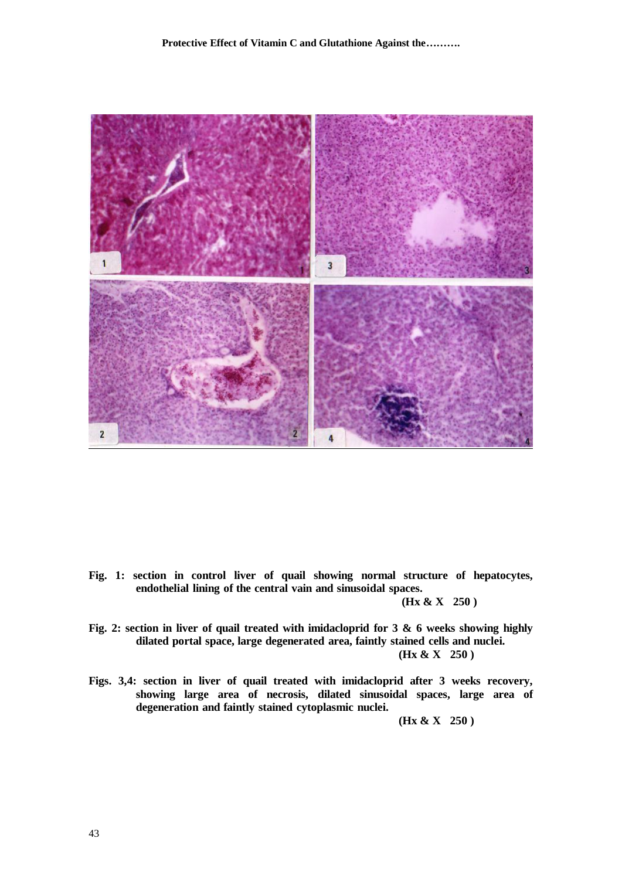

**Fig. 1: section in control liver of quail showing normal structure of hepatocytes, endothelial lining of the central vain and sinusoidal spaces.** 

 **(Hx & X 250 )**

- **Fig. 2: section in liver of quail treated with imidacloprid for 3 & 6 weeks showing highly dilated portal space, large degenerated area, faintly stained cells and nuclei. (Hx & X 250 )**
- **Figs. 3,4: section in liver of quail treated with imidacloprid after 3 weeks recovery, showing large area of necrosis, dilated sinusoidal spaces, large area of degeneration and faintly stained cytoplasmic nuclei.**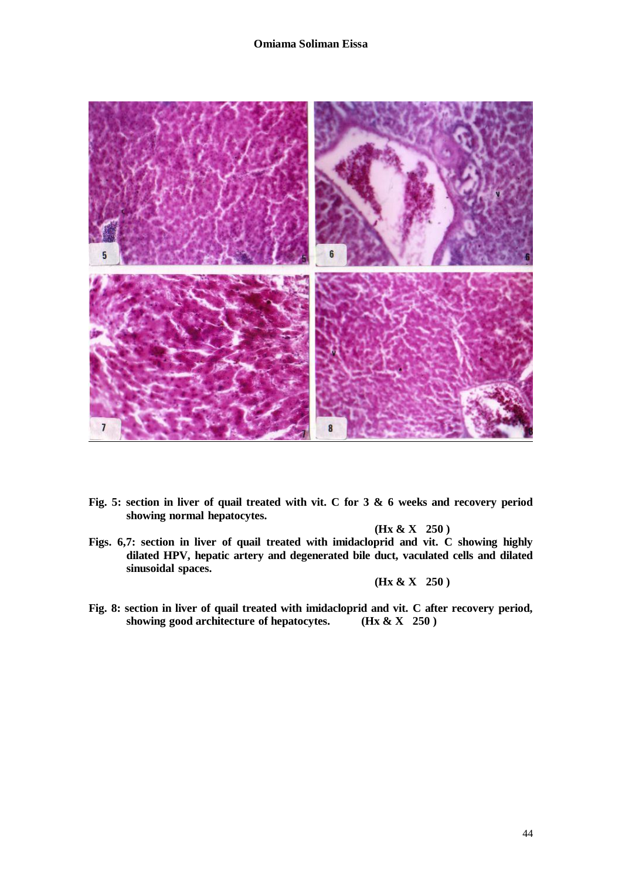#### **Omiama Soliman Eissa**



**Fig. 5: section in liver of quail treated with vit. C for 3 & 6 weeks and recovery period showing normal hepatocytes.**

 **(Hx & X 250 )**

**Figs. 6,7: section in liver of quail treated with imidacloprid and vit. C showing highly dilated HPV, hepatic artery and degenerated bile duct, vaculated cells and dilated sinusoidal spaces.** 

 **(Hx & X 250 )**

**Fig. 8: section in liver of quail treated with imidacloprid and vit. C after recovery period, showing good architecture of hepatocytes. (Hx & X 250 )**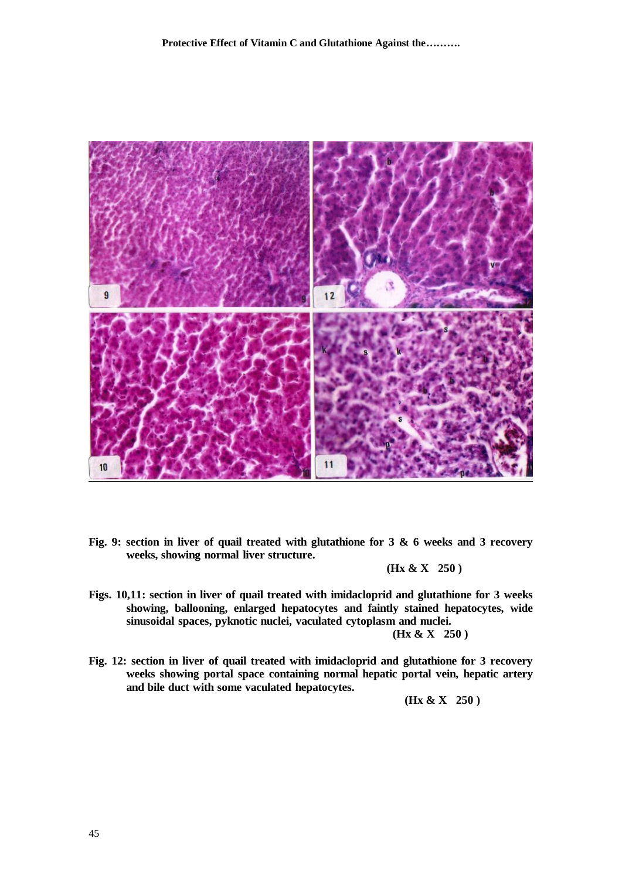

**Fig. 9: section in liver of quail treated with glutathione for 3 & 6 weeks and 3 recovery weeks, showing normal liver structure.** 

 **(Hx & X 250 )**

**Figs. 10,11: section in liver of quail treated with imidacloprid and glutathione for 3 weeks showing, ballooning, enlarged hepatocytes and faintly stained hepatocytes, wide sinusoidal spaces, pyknotic nuclei, vaculated cytoplasm and nuclei.** 

 **(Hx & X 250 )**

**Fig. 12: section in liver of quail treated with imidacloprid and glutathione for 3 recovery weeks showing portal space containing normal hepatic portal vein, hepatic artery and bile duct with some vaculated hepatocytes.**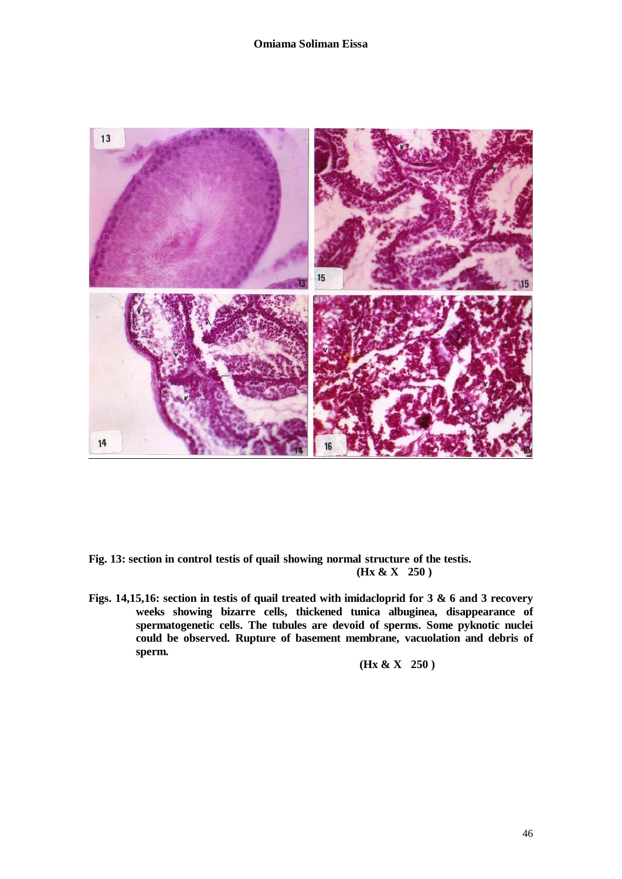

- **Fig. 13: section in control testis of quail showing normal structure of the testis. (Hx & X 250 )**
- **Figs. 14,15,16: section in testis of quail treated with imidacloprid for 3 & 6 and 3 recovery weeks showing bizarre cells, thickened tunica albuginea, disappearance of spermatogenetic cells. The tubules are devoid of sperms. Some pyknotic nuclei could be observed. Rupture of basement membrane, vacuolation and debris of sperm.**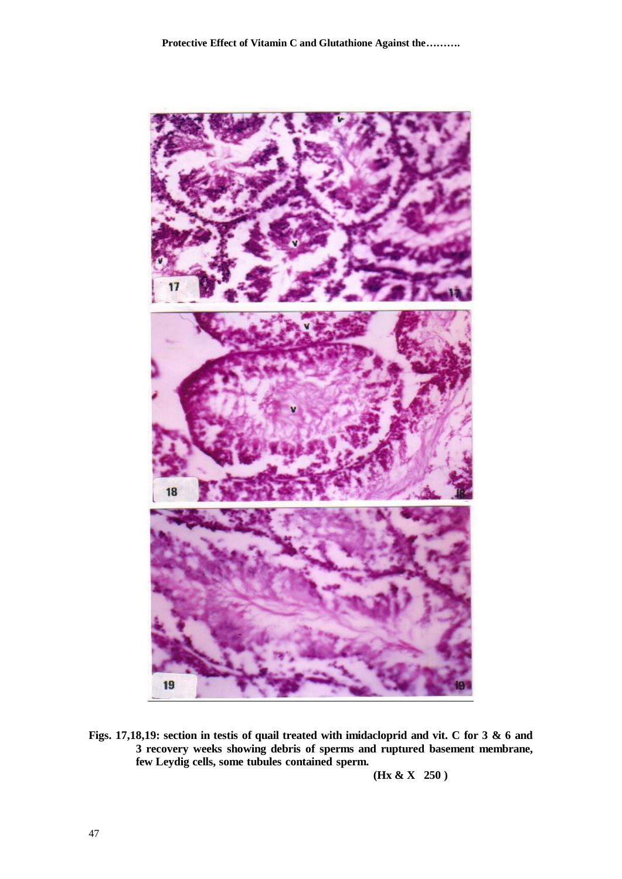

**Figs. 17,18,19: section in testis of quail treated with imidacloprid and vit. C for 3 & 6 and 3 recovery weeks showing debris of sperms and ruptured basement membrane, few Leydig cells, some tubules contained sperm.**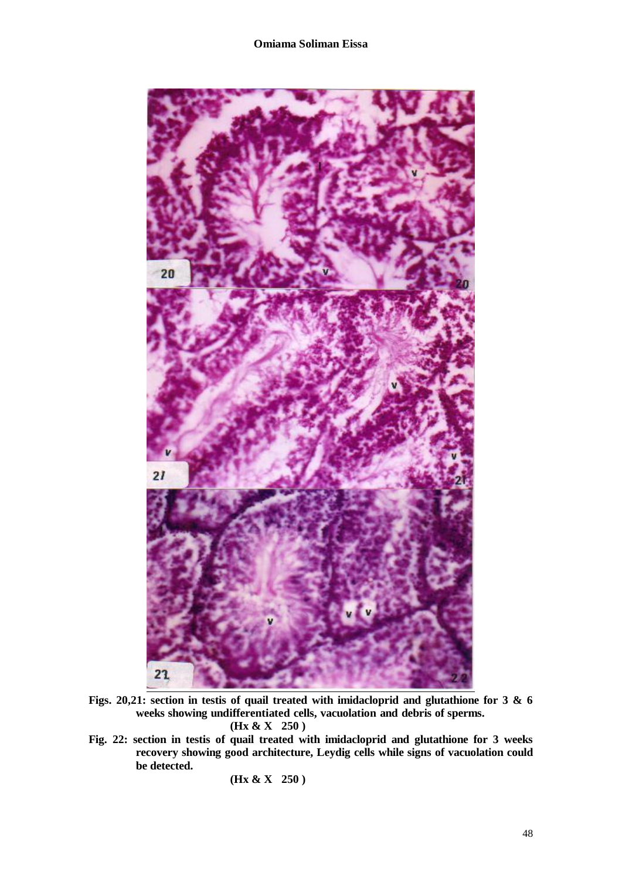

**Figs. 20,21: section in testis of quail treated with imidacloprid and glutathione for 3 & 6 weeks showing undifferentiated cells, vacuolation and debris of sperms. (Hx & X 250 )**

**Fig. 22: section in testis of quail treated with imidacloprid and glutathione for 3 weeks recovery showing good architecture, Leydig cells while signs of vacuolation could be detected.**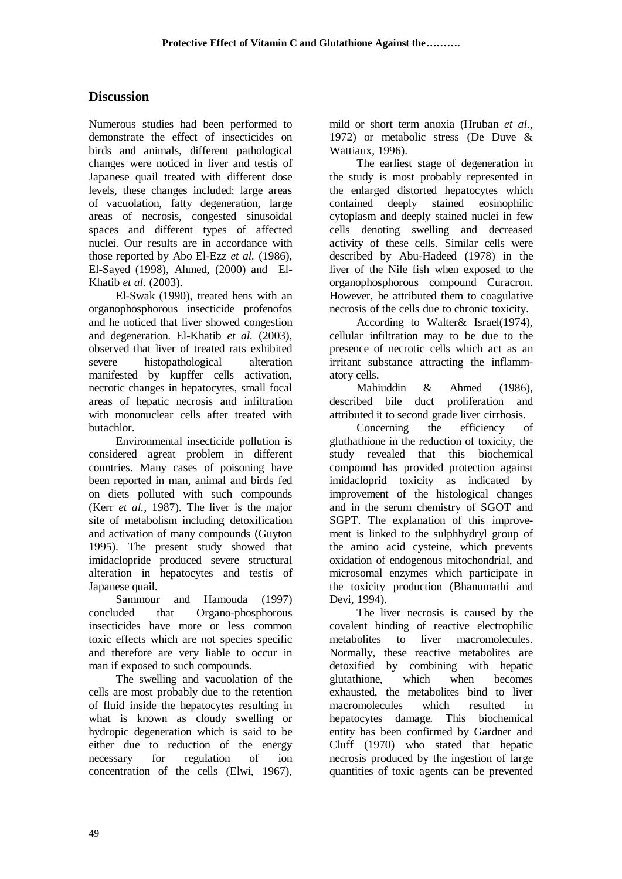## **Discussion**

Numerous studies had been performed to demonstrate the effect of insecticides on birds and animals, different pathological changes were noticed in liver and testis of Japanese quail treated with different dose levels, these changes included: large areas of vacuolation, fatty degeneration, large areas of necrosis, congested sinusoidal spaces and different types of affected nuclei. Our results are in accordance with those reported by Abo El-Ezz *et al.* (1986), El-Sayed (1998), Ahmed, (2000) and El-Khatib *et al.* (2003).

 El-Swak (1990), treated hens with an organophosphorous insecticide profenofos and he noticed that liver showed congestion and degeneration. El-Khatib *et al.* (2003), observed that liver of treated rats exhibited severe histopathological alteration manifested by kupffer cells activation, necrotic changes in hepatocytes, small focal areas of hepatic necrosis and infiltration with mononuclear cells after treated with butachlor.

 Environmental insecticide pollution is considered agreat problem in different countries. Many cases of poisoning have been reported in man, animal and birds fed on diets polluted with such compounds (Kerr *et al.,* 1987). The liver is the major site of metabolism including detoxification and activation of many compounds (Guyton 1995). The present study showed that imidaclopride produced severe structural alteration in hepatocytes and testis of Japanese quail.

 Sammour and Hamouda (1997) concluded that Organo-phosphorous insecticides have more or less common toxic effects which are not species specific and therefore are very liable to occur in man if exposed to such compounds.

 The swelling and vacuolation of the cells are most probably due to the retention of fluid inside the hepatocytes resulting in what is known as cloudy swelling or hydropic degeneration which is said to be either due to reduction of the energy necessary for regulation of ion concentration of the cells (Elwi, 1967), mild or short term anoxia (Hruban *et al.,* 1972) or metabolic stress (De Duve & Wattiaux, 1996).

 The earliest stage of degeneration in the study is most probably represented in the enlarged distorted hepatocytes which contained deeply stained eosinophilic cytoplasm and deeply stained nuclei in few cells denoting swelling and decreased activity of these cells. Similar cells were described by Abu-Hadeed (1978) in the liver of the Nile fish when exposed to the organophosphorous compound Curacron. However, he attributed them to coagulative necrosis of the cells due to chronic toxicity.

 According to Walter& Israel(1974), cellular infiltration may to be due to the presence of necrotic cells which act as an irritant substance attracting the inflammatory cells.

 Mahiuddin & Ahmed (1986), described bile duct proliferation and attributed it to second grade liver cirrhosis.

 Concerning the efficiency of gluthathione in the reduction of toxicity, the study revealed that this biochemical compound has provided protection against imidacloprid toxicity as indicated by improvement of the histological changes and in the serum chemistry of SGOT and SGPT. The explanation of this improvement is linked to the sulphhydryl group of the amino acid cysteine, which prevents oxidation of endogenous mitochondrial, and microsomal enzymes which participate in the toxicity production (Bhanumathi and Devi, 1994).

 The liver necrosis is caused by the covalent binding of reactive electrophilic metabolites to liver macromolecules. Normally, these reactive metabolites are detoxified by combining with hepatic glutathione, which when becomes exhausted, the metabolites bind to liver macromolecules which resulted in hepatocytes damage. This biochemical entity has been confirmed by Gardner and Cluff (1970) who stated that hepatic necrosis produced by the ingestion of large quantities of toxic agents can be prevented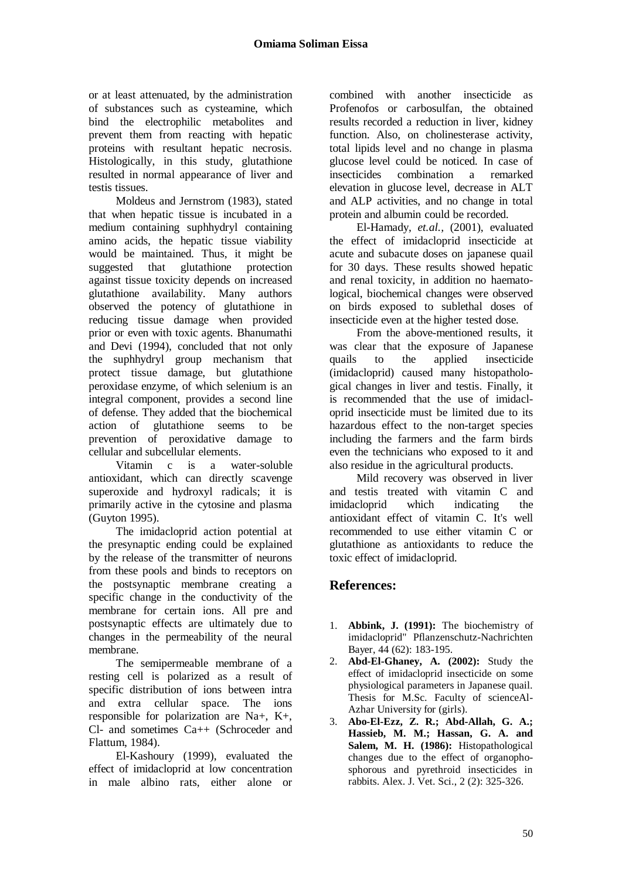or at least attenuated, by the administration of substances such as cysteamine, which bind the electrophilic metabolites and prevent them from reacting with hepatic proteins with resultant hepatic necrosis. Histologically, in this study, glutathione resulted in normal appearance of liver and testis tissues.

 Moldeus and Jernstrom (1983), stated that when hepatic tissue is incubated in a medium containing suphhydryl containing amino acids, the hepatic tissue viability would be maintained. Thus, it might be suggested that glutathione protection against tissue toxicity depends on increased glutathione availability. Many authors observed the potency of glutathione in reducing tissue damage when provided prior or even with toxic agents. Bhanumathi and Devi (1994), concluded that not only the suphhydryl group mechanism that protect tissue damage, but glutathione peroxidase enzyme, of which selenium is an integral component, provides a second line of defense. They added that the biochemical action of glutathione seems to be prevention of peroxidative damage to cellular and subcellular elements.

 Vitamin c is a water-soluble antioxidant, which can directly scavenge superoxide and hydroxyl radicals; it is primarily active in the cytosine and plasma (Guyton 1995).

 The imidacloprid action potential at the presynaptic ending could be explained by the release of the transmitter of neurons from these pools and binds to receptors on the postsynaptic membrane creating a specific change in the conductivity of the membrane for certain ions. All pre and postsynaptic effects are ultimately due to changes in the permeability of the neural membrane.

 The semipermeable membrane of a resting cell is polarized as a result of specific distribution of ions between intra and extra cellular space. The ions responsible for polarization are Na+, K+, Cl- and sometimes Ca++ (Schroceder and Flattum, 1984).

 El-Kashoury (1999), evaluated the effect of imidacloprid at low concentration in male albino rats, either alone or

combined with another insecticide as Profenofos or carbosulfan, the obtained results recorded a reduction in liver, kidney function. Also, on cholinesterase activity, total lipids level and no change in plasma glucose level could be noticed. In case of insecticides combination a remarked elevation in glucose level, decrease in ALT and ALP activities, and no change in total protein and albumin could be recorded.

 El-Hamady, *et.al.,* (2001), evaluated the effect of imidacloprid insecticide at acute and subacute doses on japanese quail for 30 days. These results showed hepatic and renal toxicity, in addition no haematological, biochemical changes were observed on birds exposed to sublethal doses of insecticide even at the higher tested dose.

 From the above-mentioned results, it was clear that the exposure of Japanese quails to the applied insecticide (imidacloprid) caused many histopathological changes in liver and testis. Finally, it is recommended that the use of imidacloprid insecticide must be limited due to its hazardous effect to the non-target species including the farmers and the farm birds even the technicians who exposed to it and also residue in the agricultural products.

 Mild recovery was observed in liver and testis treated with vitamin C and imidacloprid which indicating the antioxidant effect of vitamin C. It's well recommended to use either vitamin C or glutathione as antioxidants to reduce the toxic effect of imidacloprid.

# **References:**

- 1. **Abbink, J. (1991):** The biochemistry of imidacloprid" Pflanzenschutz-Nachrichten Bayer, 44 (62): 183-195.
- 2. **Abd-El-Ghaney, A. (2002):** Study the effect of imidacloprid insecticide on some physiological parameters in Japanese quail. Thesis for M.Sc. Faculty of scienceAl-Azhar University for (girls).
- 3. **Abo-El-Ezz, Z. R.; Abd-Allah, G. A.; Hassieb, M. M.; Hassan, G. A. and Salem, M. H. (1986):** Histopathological changes due to the effect of organophosphorous and pyrethroid insecticides in rabbits. Alex. J. Vet. Sci., 2 (2): 325-326.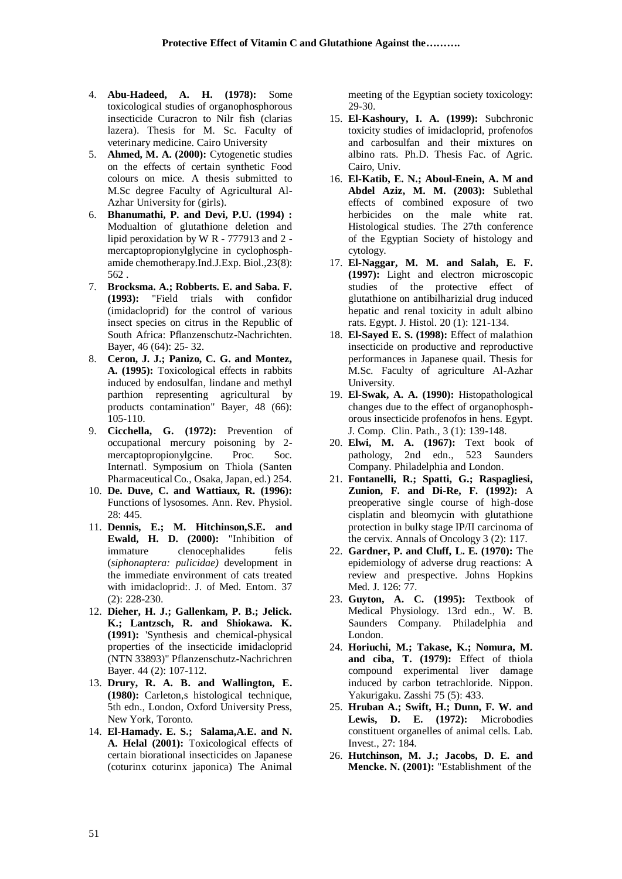- 4. **Abu-Hadeed, A. H. (1978):** Some toxicological studies of organophosphorous insecticide Curacron to Nilr fish (clarias lazera). Thesis for M. Sc. Faculty of veterinary medicine. Cairo University
- 5. **Ahmed, M. A. (2000):** Cytogenetic studies on the effects of certain synthetic Food colours on mice. A thesis submitted to M.Sc degree Faculty of Agricultural Al-Azhar University for (girls).
- 6. **Bhanumathi, P. and Devi, P.U. (1994) :**  Modualtion of glutathione deletion and lipid peroxidation by W R - 777913 and 2 mercaptopropionylglycine in cyclophosphamide chemotherapy.Ind.J.Exp. Biol.,23(8): 562 .
- 7. **Brocksma. A.; Robberts. E. and Saba. F. (1993):** "Field trials with confidor (imidacloprid) for the control of various insect species on citrus in the Republic of South Africa: Pflanzenschutz-Nachrichten. Bayer, 46 (64): 25- 32.
- 8. **Ceron, J. J.; Panizo, C. G. and Montez, A. (1995):** Toxicological effects in rabbits induced by endosulfan, lindane and methyl parthion representing agricultural by products contamination" Bayer, 48 (66): 105-110.
- 9. **Cicchella, G. (1972):** Prevention of occupational mercury poisoning by 2 mercaptopropionylgcine. Proc. Soc. Internatl. Symposium on Thiola (Santen Pharmaceutical Co., Osaka, Japan, ed.) 254.
- 10. **De. Duve, C. and Wattiaux, R. (1996):**  Functions of lysosomes. Ann. Rev. Physiol. 28: 445.
- 11. **Dennis, E.; M. Hitchinson,S.E. and Ewald, H. D. (2000):** "Inhibition of immature clenocephalides felis (*siphonaptera: pulicidae)* development in the immediate environment of cats treated with imidacloprid:. J. of Med. Entom. 37 (2): 228-230.
- 12. **Dieher, H. J.; Gallenkam, P. B.; Jelick. K.; Lantzsch, R. and Shiokawa. K. (1991):** 'Synthesis and chemical-physical properties of the insecticide imidacloprid (NTN 33893)" Pflanzenschutz-Nachrichren Bayer. 44 (2): 107-112.
- 13. **Drury, R. A. B. and Wallington, E. (1980):** Carleton,s histological technique, 5th edn., London, Oxford University Press, New York, Toronto.
- 14. **El-Hamady. E. S.; Salama,A.E. and N. A. Helal (2001):** Toxicological effects of certain biorational insecticides on Japanese (coturinx coturinx japonica) The Animal

meeting of the Egyptian society toxicology: 29-30.

- 15. **El-Kashoury, I. A. (1999):** Subchronic toxicity studies of imidacloprid, profenofos and carbosulfan and their mixtures on albino rats. Ph.D. Thesis Fac. of Agric. Cairo, Univ.
- 16. **El-Katib, E. N.; Aboul-Enein, A. M and Abdel Aziz, M. M. (2003):** Sublethal effects of combined exposure of two herbicides on the male white rat. Histological studies. The 27th conference of the Egyptian Society of histology and cytology.
- 17. **El-Naggar, M. M. and Salah, E. F. (1997):** Light and electron microscopic studies of the protective effect of glutathione on antibilharizial drug induced hepatic and renal toxicity in adult albino rats. Egypt. J. Histol. 20 (1): 121-134.
- 18. **El-Sayed E. S. (1998):** Effect of malathion insecticide on productive and reproductive performances in Japanese quail. Thesis for M.Sc. Faculty of agriculture Al-Azhar University.
- 19. **El-Swak, A. A. (1990):** Histopathological changes due to the effect of organophosphorous insecticide profenofos in hens. Egypt. J. Comp. Clin. Path., 3 (1): 139-148.
- 20. **Elwi, M. A. (1967):** Text book of pathology, 2nd edn., 523 Saunders Company. Philadelphia and London.
- 21. **Fontanelli, R.; Spatti, G.; Raspagliesi, Zunion, F. and Di-Re, F. (1992):** A preoperative single course of high-dose cisplatin and bleomycin with glutathione protection in bulky stage IP/II carcinoma of the cervix. Annals of Oncology 3 (2): 117.
- 22. **Gardner, P. and Cluff, L. E. (1970):** The epidemiology of adverse drug reactions: A review and prespective. Johns Hopkins Med. J. 126: 77.
- 23. **Guyton, A. C. (1995):** Textbook of Medical Physiology. 13rd edn., W. B. Saunders Company. Philadelphia and London.
- 24. **Horiuchi, M.; Takase, K.; Nomura, M. and ciba, T. (1979):** Effect of thiola compound experimental liver damage induced by carbon tetrachloride. Nippon. Yakurigaku. Zasshi 75 (5): 433.
- 25. **Hruban A.; Swift, H.; Dunn, F. W. and Lewis, D. E. (1972):** Microbodies constituent organelles of animal cells. Lab. Invest., 27: 184.
- 26. **Hutchinson, M. J.; Jacobs, D. E. and Mencke. N. (2001):** "Establishment of the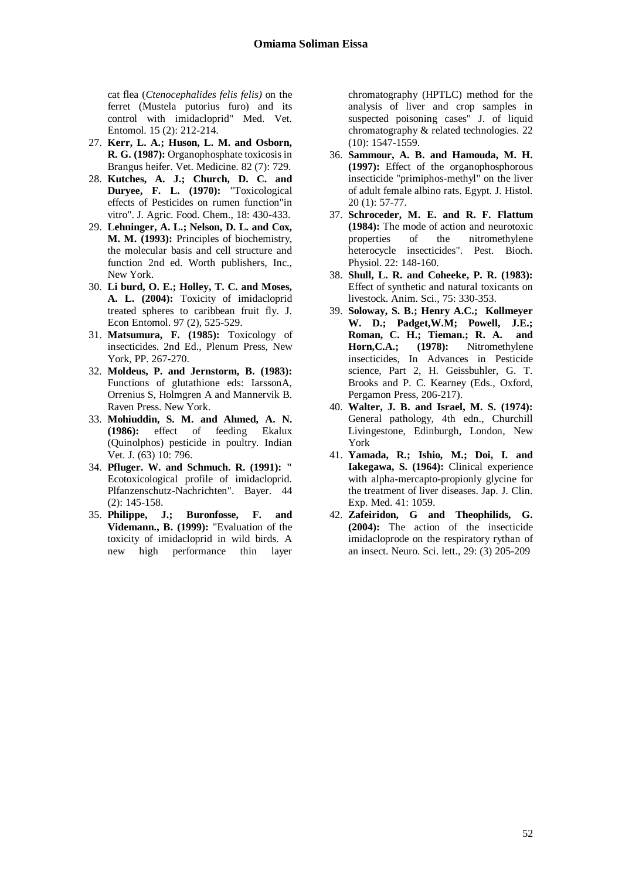cat flea (*Ctenocephalides felis felis)* on the ferret (Mustela putorius furo) and its control with imidacloprid" Med. Vet. Entomol. 15 (2): 212-214.

- 27. **Kerr, L. A.; Huson, L. M. and Osborn, R. G. (1987):** Organophosphate toxicosis in Brangus heifer. Vet. Medicine. 82 (7): 729.
- 28. **Kutches, A. J.; Church, D. C. and Duryee, F. L. (1970):** "Toxicological effects of Pesticides on rumen function"in vitro". J. Agric. Food. Chem., 18: 430-433.
- 29. **Lehninger, A. L.; Nelson, D. L. and Cox, M. M. (1993):** Principles of biochemistry, the molecular basis and cell structure and function 2nd ed. Worth publishers, Inc., New York.
- 30. **Li burd, O. E.; Holley, T. C. and Moses, A. L. (2004):** Toxicity of imidacloprid treated spheres to caribbean fruit fly. J. Econ Entomol. 97 (2), 525-529.
- 31. **Matsumura, F. (1985):** Toxicology of insecticides. 2nd Ed., Plenum Press, New York, PP. 267-270.
- 32. **Moldeus, P. and Jernstorm, B. (1983):**  Functions of glutathione eds: IarssonA, Orrenius S, Holmgren A and Mannervik B. Raven Press. New York.
- 33. **Mohiuddin, S. M. and Ahmed, A. N. (1986):** effect of feeding Ekalux (Quinolphos) pesticide in poultry. Indian Vet. J. (63) 10: 796.
- 34. **Pfluger. W. and Schmuch. R. (1991): "**  Ecotoxicological profile of imidacloprid. Plfanzenschutz-Nachrichten". Bayer. 44 (2): 145-158.
- 35. **Philippe, J.; Buronfosse, F. and Videmann., B. (1999):** "Evaluation of the toxicity of imidacloprid in wild birds. A new high performance thin layer

chromatography (HPTLC) method for the analysis of liver and crop samples in suspected poisoning cases" J. of liquid chromatography & related technologies. 22 (10): 1547-1559.

- 36. **Sammour, A. B. and Hamouda, M. H. (1997):** Effect of the organophosphorous insecticide "primiphos-methyl" on the liver of adult female albino rats. Egypt. J. Histol. 20 (1): 57-77.
- 37. **Schroceder, M. E. and R. F. Flattum (1984):** The mode of action and neurotoxic properties of the nitromethylene heterocycle insecticides". Pest. Bioch. Physiol. 22: 148-160.
- 38. **Shull, L. R. and Coheeke, P. R. (1983):**  Effect of synthetic and natural toxicants on livestock. Anim. Sci., 75: 330-353.
- 39. **Soloway, S. B.; Henry A.C.; Kollmeyer W. D.; Padget,W.M; Powell, J.E.; Roman, C. H.; Tieman.; R. A. and Horn,C.A.; (1978):** Nitromethylene insecticides, In Advances in Pesticide science, Part 2, H. Geissbuhler, G. T. Brooks and P. C. Kearney (Eds., Oxford, Pergamon Press, 206-217).
- 40. **Walter, J. B. and Israel, M. S. (1974):** General pathology, 4th edn., Churchill Livingestone, Edinburgh, London, New York
- 41. **Yamada, R.; Ishio, M.; Doi, I. and Iakegawa, S. (1964):** Clinical experience with alpha-mercapto-propionly glycine for the treatment of liver diseases. Jap. J. Clin. Exp. Med. 41: 1059.
- 42. **Zafeiridon, G and Theophilids, G. (2004):** The action of the insecticide imidacloprode on the respiratory rythan of an insect. Neuro. Sci. lett., 29: (3) 205-209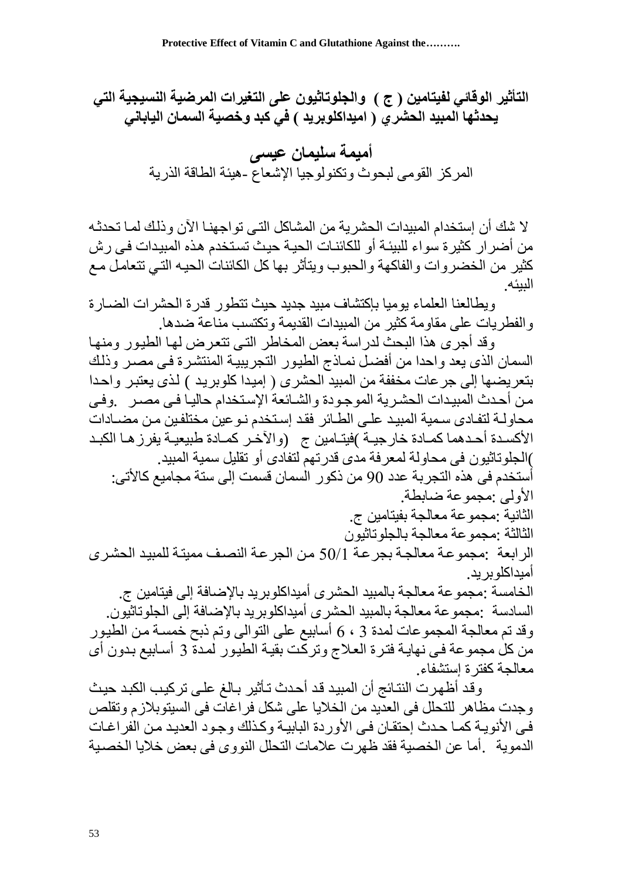التأثير الوقا*ئي* لفيتامين ( ج ) والجلوتاثيون على التغيرات المرضية النسيجية التى **ٌحدثها المبٍد الحشري ) امٍداكلىبرٌد ( فً كبد وخصٍة السمان الٍاباوً**

> **أمٍمة سلٍمان عٍسى** المركز القومي لبحوث وتكنولوجيا الإشعاع -هيئة الطاقة الذرية

لا شك أن إستخدام المبيدات الحشرية من المشاكل التي تواجهنــا الآن وذلك لمــا تحدثـه من أضرار كثيرة سواء للبيئة أو للكائنـات الحيـة حيث تستخدم هذه المبيدات فـي رش كثير من الخضرّرات والفاكهة والحبوب ويتأثر بها كل الكائنات الحيـه التـي تتعامل مـع البيئه

وبطالعنا العلماء بومبا باكتشاف مييد جديد حيث تتطور قدر ة الحشر ات الضيار ة و الفطر بات على مقاومة كثير ً من المبيدات القديمة و تكتسب مناعة ضدها.

وقد أجرى هذا البحث لدراسة بعض المخاطر التى تتعرض لها الطيور ومنها السمان الذى يعد واحدا من أفضل نمـاذج الطيور التجريبيـة المنتشرة فـي مصـرٍ وّذلك بنّعر بضيها إلى جر عات مخففة من المبيد الحشر ي ( إميدا كلوبر يد ) لذي يعتبر ۖ و احدا من أحدث المبيدات الحشرية الموجودة والشـائعةُ الإستخدام حاليـا فـي مصـرٍ بوفـي محاّو لــة لتفـادى سـمية المبيد علـى الطـائر فقد إسـتخدم نـو عين مختلفـين مـن مضــادات الأكسـدة أحـدهما كمـادة خار جيــة )فيتــامين ج (و الآخـر كمــادة طبيعيــة يفر ز هــا الكبـد )الجلوتاثيون في محاولة لمعرفة مدى قدرتهمّ لتفادى أو تقليل سمية المبيد. أستخدم في هذه التجرية عدد 90 من ذكور السمان قسمت إلى ستة مجاميع كالأتي: الأولى :محموعة ضبابطة. الثانية :مجموعة معالجة بفيتامين ج. الثالثة :مجموعة معالجة بالجلو تاثبون الرابعة :مجموعة معالجة بجرعة 50/1 من الجرعة النصف ممينة للمبيد الحشرى أمبداكلو بر بد ِ الخامسة :مجموعة معالجة بالمبيد الحشرى أميداكلوبريد بالإضافة إلى فيتامين ج. السادسة :مجموعة معالجة بالمبيد الحشرى أميداكلوبريد بالإضافة إلى الجلوتاثيّون. وقد تم معالجة المجموعات لمدة 3 ، 6 أسابيع على التوالي وتم ذبح خمسة من الطيور من كل مجموعة في نهايـة فترة العلاج وتركّت بقيـة الطيور لمدة 3 أسـابيع بدون أي معالجة كفتر ة استشفاء

وقد أظهرت النتائج أن المبيد قد أحدث تـأثير بـالغ علـى تركيب الكبد حيث وجدت مظاهر للتحلل في العديد من الخلايا على شكل فراغات في السيتوبلازم وتقلص فى الأنويـة كمـا حـدث إحتقـان فـي الأوردة البابيـة وكـذلك وجـود العديـد مـن الفراغـات الدموية . أما عن الخصية فقد ظهر ت علامات التحلل النو و ي في يعض خلايا الخصيبة